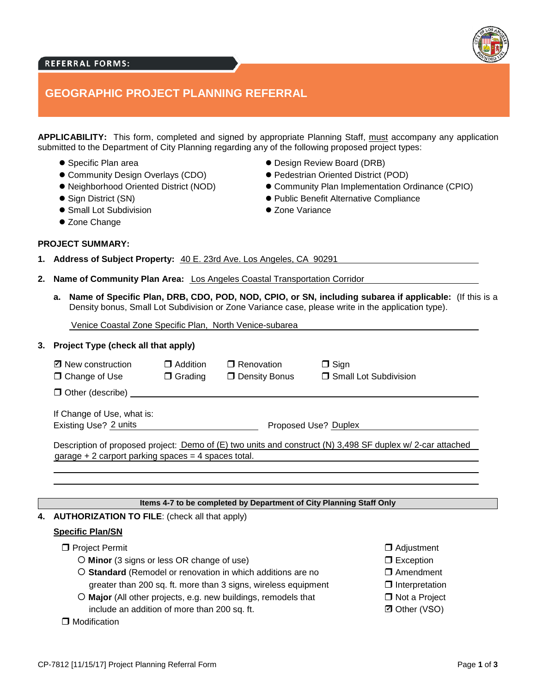# **REFERRAL FORMS:**

# **GEOGRAPHIC PROJECT PLANNING REFERRAL**

**APPLICABILITY:** This form, completed and signed by appropriate Planning Staff, must accompany any application submitted to the Department of City Planning regarding any of the following proposed project types:

- Specific Plan area
- Community Design Overlays (CDO)
- Neighborhood Oriented District (NOD)
- Sign District (SN)
- Small Lot Subdivision
- Zone Change

**PROJECT SUMMARY:**

- Design Review Board (DRB)
- Pedestrian Oriented District (POD)
- Community Plan Implementation Ordinance (CPIO)
- Public Benefit Alternative Compliance
- Zone Variance

**1. Address of Subject Property:** 40 E. 23rd Ave. Los Angeles, CA 90291

- **2. Name of Community Plan Area:** Los Angeles Coastal Transportation Corridor
	- **a. Name of Specific Plan, DRB, CDO, POD, NOD, CPIO, or SN, including subarea if applicable:** (If this is a Density bonus, Small Lot Subdivision or Zone Variance case, please write in the application type).

Venice Coastal Zone Specific Plan, North Venice-subarea

### **3. Project Type (check all that apply)**

| ☑ New construction | $\Box$ Addition | □ Renovation    | $\Box$ Sign             |
|--------------------|-----------------|-----------------|-------------------------|
| □ Change of Use    | $\Box$ Grading  | □ Density Bonus | □ Small Lot Subdivision |

 $\Box$  Other (describe)

If Change of Use, what is: Existing Use? 2 units **Existing Use** 2 units **Proposed Use?** Duplex

Description of proposed project: <u>Demo of (E) two units and construct (N) 3,498 SF duplex w/ 2-car attached</u><br>garage + 2 carport parking spaces = 4 spaces total.

### **Items 4-7 to be completed by Department of City Planning Staff Only**

#### **4. AUTHORIZATION TO FILE**: (check all that apply)

#### **Specific Plan/SN**

- **D** Project Permit
	- **Minor** (3 signs or less OR change of use)
	- **Standard** (Remodel or renovation in which additions are no greater than 200 sq. ft. more than 3 signs, wireless equipment
	- **Major** (All other projects, e.g. new buildings, remodels that include an addition of more than 200 sq. ft.

#### $\Box$  Modification

- **D** Adjustment
- □ Exception
- □ Amendment
- $\Box$  Interpretation
- □ Not a Project
- **Ø** Other (VSO)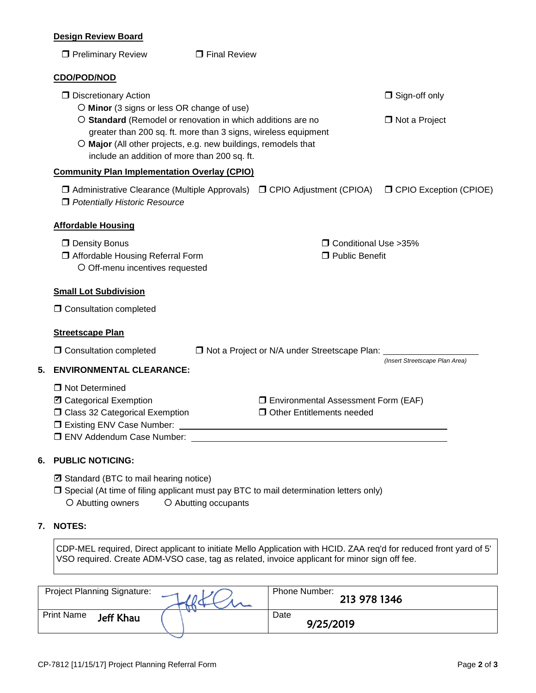### **Design Review Board**

|    | שטע וואסוי וופסטע                                                                                                                                                                                                                               |                      |                                                                                  |                                           |  |
|----|-------------------------------------------------------------------------------------------------------------------------------------------------------------------------------------------------------------------------------------------------|----------------------|----------------------------------------------------------------------------------|-------------------------------------------|--|
|    | <b>T</b> Preliminary Review                                                                                                                                                                                                                     | $\Box$ Final Review  |                                                                                  |                                           |  |
|    | <b>CDO/POD/NOD</b>                                                                                                                                                                                                                              |                      |                                                                                  |                                           |  |
|    | <b>D</b> Discretionary Action<br>O Minor (3 signs or less OR change of use)                                                                                                                                                                     |                      | $\Box$ Sign-off only                                                             |                                           |  |
|    | O Standard (Remodel or renovation in which additions are no<br>greater than 200 sq. ft. more than 3 signs, wireless equipment<br>O Major (All other projects, e.g. new buildings, remodels that<br>include an addition of more than 200 sq. ft. | $\Box$ Not a Project |                                                                                  |                                           |  |
|    | <b>Community Plan Implementation Overlay (CPIO)</b>                                                                                                                                                                                             |                      |                                                                                  |                                           |  |
|    | □ Administrative Clearance (Multiple Approvals) □ CPIO Adjustment (CPIOA)<br>D Potentially Historic Resource                                                                                                                                    |                      |                                                                                  | <b>O CPIO Exception (CPIOE)</b>           |  |
|    | <b>Affordable Housing</b>                                                                                                                                                                                                                       |                      |                                                                                  |                                           |  |
|    | $\Box$ Density Bonus<br><b>J</b> Affordable Housing Referral Form<br>O Off-menu incentives requested                                                                                                                                            |                      |                                                                                  | □ Conditional Use > 35%<br>Public Benefit |  |
|    | <b>Small Lot Subdivision</b>                                                                                                                                                                                                                    |                      |                                                                                  |                                           |  |
|    | <b>O</b> Consultation completed                                                                                                                                                                                                                 |                      |                                                                                  |                                           |  |
|    | <b>Streetscape Plan</b>                                                                                                                                                                                                                         |                      |                                                                                  |                                           |  |
|    | □ Consultation completed                                                                                                                                                                                                                        |                      | □ Not a Project or N/A under Streetscape Plan:                                   |                                           |  |
| 5. | <b>ENVIRONMENTAL CLEARANCE:</b>                                                                                                                                                                                                                 |                      |                                                                                  | (Insert Streetscape Plan Area)            |  |
|    | □ Not Determined<br>D Categorical Exemption<br>□ Class 32 Categorical Exemption                                                                                                                                                                 |                      | <b>I</b> Environmental Assessment Form (EAF)<br><b>Other Entitlements needed</b> |                                           |  |
| 6. | <b>PUBLIC NOTICING:</b>                                                                                                                                                                                                                         |                      |                                                                                  |                                           |  |
|    | E Standard (BTC to mail hearing notice)                                                                                                                                                                                                         |                      |                                                                                  |                                           |  |

 $\square$  Special (At time of filing applicant must pay BTC to mail determination letters only) O Abutting owners <br> O Abutting occupants

## **7. NOTES:**

CDP-MEL required, Direct applicant to initiate Mello Application with HCID. ZAA req'd for reduced front yard of 5' VSO required. Create ADM-VSO case, tag as related, invoice applicant for minor sign off fee.

| <b>Project Planning Signature:</b>    | Phone Number:<br>213 978 1346 |
|---------------------------------------|-------------------------------|
| <b>Print Name</b><br><b>Jeff Khau</b> | Date<br>9/25/2019             |